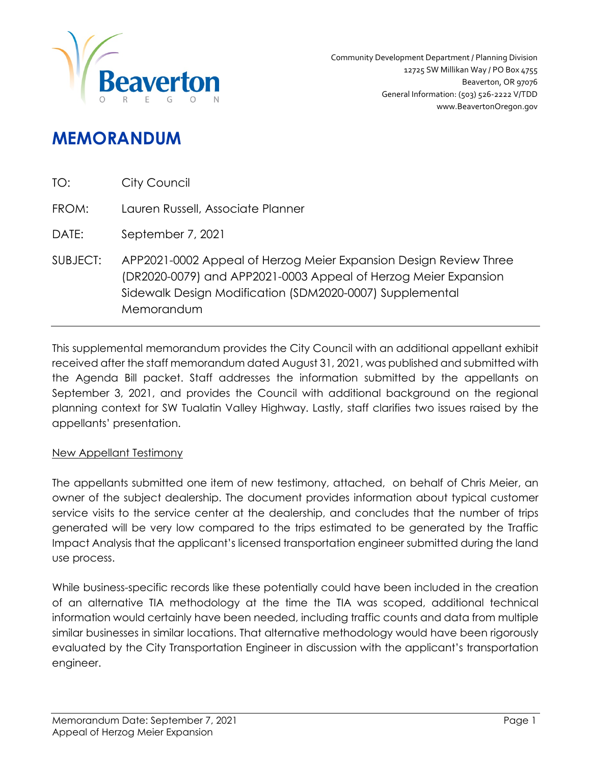

# **MEMORANDUM**

| TO:      | City Council                                                                                                                                                                                                   |
|----------|----------------------------------------------------------------------------------------------------------------------------------------------------------------------------------------------------------------|
| FROM:    | Lauren Russell, Associate Planner                                                                                                                                                                              |
| DATE:    | September 7, 2021                                                                                                                                                                                              |
| SUBJECT: | APP2021-0002 Appeal of Herzog Meier Expansion Design Review Three<br>(DR2020-0079) and APP2021-0003 Appeal of Herzog Meier Expansion<br>Sidewalk Design Modification (SDM2020-0007) Supplemental<br>Memorandum |

This supplemental memorandum provides the City Council with an additional appellant exhibit received after the staff memorandum dated August 31, 2021, was published and submitted with the Agenda Bill packet. Staff addresses the information submitted by the appellants on September 3, 2021, and provides the Council with additional background on the regional planning context for SW Tualatin Valley Highway. Lastly, staff clarifies two issues raised by the appellants' presentation.

### New Appellant Testimony

The appellants submitted one item of new testimony, attached, on behalf of Chris Meier, an owner of the subject dealership. The document provides information about typical customer service visits to the service center at the dealership, and concludes that the number of trips generated will be very low compared to the trips estimated to be generated by the Traffic Impact Analysis that the applicant's licensed transportation engineer submitted during the land use process.

While business-specific records like these potentially could have been included in the creation of an alternative TIA methodology at the time the TIA was scoped, additional technical information would certainly have been needed, including traffic counts and data from multiple similar businesses in similar locations. That alternative methodology would have been rigorously evaluated by the City Transportation Engineer in discussion with the applicant's transportation engineer.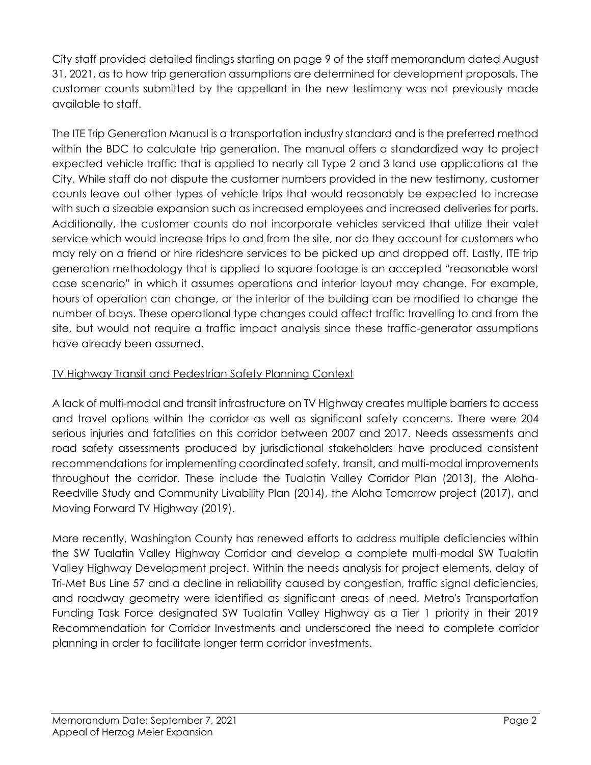City staff provided detailed findings starting on page 9 of the staff memorandum dated August 31, 2021, as to how trip generation assumptions are determined for development proposals. The customer counts submitted by the appellant in the new testimony was not previously made available to staff.

The ITE Trip Generation Manual is a transportation industry standard and is the preferred method within the BDC to calculate trip generation. The manual offers a standardized way to project expected vehicle traffic that is applied to nearly all Type 2 and 3 land use applications at the City. While staff do not dispute the customer numbers provided in the new testimony, customer counts leave out other types of vehicle trips that would reasonably be expected to increase with such a sizeable expansion such as increased employees and increased deliveries for parts. Additionally, the customer counts do not incorporate vehicles serviced that utilize their valet service which would increase trips to and from the site, nor do they account for customers who may rely on a friend or hire rideshare services to be picked up and dropped off. Lastly, ITE trip generation methodology that is applied to square footage is an accepted "reasonable worst case scenario" in which it assumes operations and interior layout may change. For example, hours of operation can change, or the interior of the building can be modified to change the number of bays. These operational type changes could affect traffic travelling to and from the site, but would not require a traffic impact analysis since these traffic-generator assumptions have already been assumed.

# TV Highway Transit and Pedestrian Safety Planning Context

A lack of multi-modal and transit infrastructure on TV Highway creates multiple barriers to access and travel options within the corridor as well as significant safety concerns. There were 204 serious injuries and fatalities on this corridor between 2007 and 2017. Needs assessments and road safety assessments produced by jurisdictional stakeholders have produced consistent recommendations for implementing coordinated safety, transit, and multi-modal improvements throughout the corridor. These include the Tualatin Valley Corridor Plan (2013), the Aloha-Reedville Study and Community Livability Plan (2014), the Aloha Tomorrow project (2017), and Moving Forward TV Highway (2019).

More recently, Washington County has renewed efforts to address multiple deficiencies within the SW Tualatin Valley Highway Corridor and develop a complete multi-modal SW Tualatin Valley Highway Development project. Within the needs analysis for project elements, delay of Tri-Met Bus Line 57 and a decline in reliability caused by congestion, traffic signal deficiencies, and roadway geometry were identified as significant areas of need. Metro's Transportation Funding Task Force designated SW Tualatin Valley Highway as a Tier 1 priority in their 2019 Recommendation for Corridor Investments and underscored the need to complete corridor planning in order to facilitate longer term corridor investments.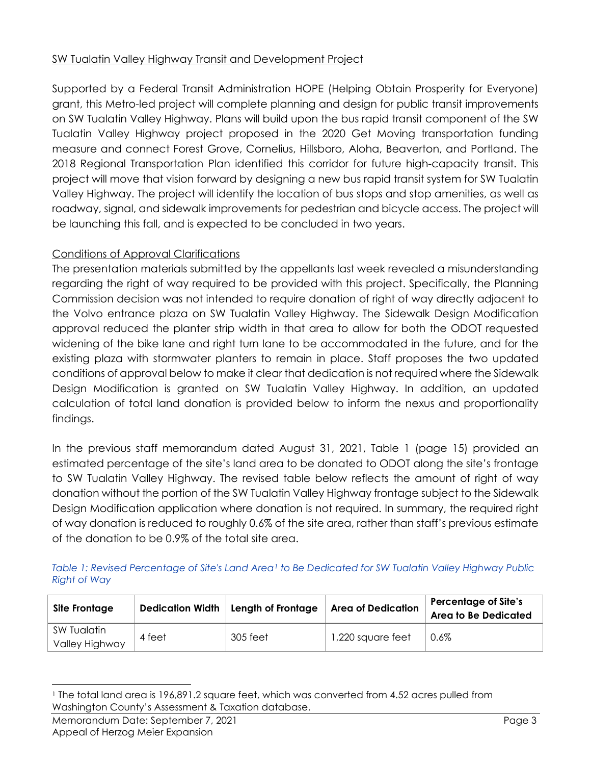## SW Tualatin Valley Highway Transit and Development Project

Supported by a Federal Transit Administration HOPE (Helping Obtain Prosperity for Everyone) grant, this Metro-led project will complete planning and design for public transit improvements on SW Tualatin Valley Highway. Plans will build upon the bus rapid transit component of the SW Tualatin Valley Highway project proposed in the 2020 Get Moving transportation funding measure and connect Forest Grove, Cornelius, Hillsboro, Aloha, Beaverton, and Portland. The 2018 Regional Transportation Plan identified this corridor for future high-capacity transit. This project will move that vision forward by designing a new bus rapid transit system for SW Tualatin Valley Highway. The project will identify the location of bus stops and stop amenities, as well as roadway, signal, and sidewalk improvements for pedestrian and bicycle access. The project will be launching this fall, and is expected to be concluded in two years.

### Conditions of Approval Clarifications

The presentation materials submitted by the appellants last week revealed a misunderstanding regarding the right of way required to be provided with this project. Specifically, the Planning Commission decision was not intended to require donation of right of way directly adjacent to the Volvo entrance plaza on SW Tualatin Valley Highway. The Sidewalk Design Modification approval reduced the planter strip width in that area to allow for both the ODOT requested widening of the bike lane and right turn lane to be accommodated in the future, and for the existing plaza with stormwater planters to remain in place. Staff proposes the two updated conditions of approval below to make it clear that dedication is not required where the Sidewalk Design Modification is granted on SW Tualatin Valley Highway. In addition, an updated calculation of total land donation is provided below to inform the nexus and proportionality findings.

In the previous staff memorandum dated August 31, 2021, Table 1 (page 15) provided an estimated percentage of the site's land area to be donated to ODOT along the site's frontage to SW Tualatin Valley Highway. The revised table below reflects the amount of right of way donation without the portion of the SW Tualatin Valley Highway frontage subject to the Sidewalk Design Modification application where donation is not required. In summary, the required right of way donation is reduced to roughly 0.6% of the site area, rather than staff's previous estimate of the donation to be 0.9% of the total site area.

*Table 1: Revised Percentage of Site's Land Area[1](#page-2-0) to Be Dedicated for SW Tualatin Valley Highway Public Right of Way*

| Site Frontage                 | <b>Dedication Width</b> | Length of Frontage | <b>Area of Dedication</b> | <b>Percentage of Site's</b><br><b>Area to Be Dedicated</b> |
|-------------------------------|-------------------------|--------------------|---------------------------|------------------------------------------------------------|
| SW Tualatin<br>Valley Highway | 4 feet                  | 305 feet           | 1,220 square feet         | $0.6\%$                                                    |

<span id="page-2-0"></span><sup>1</sup> The total land area is 196,891.2 square feet, which was converted from 4.52 acres pulled from Washington County's Assessment & Taxation database.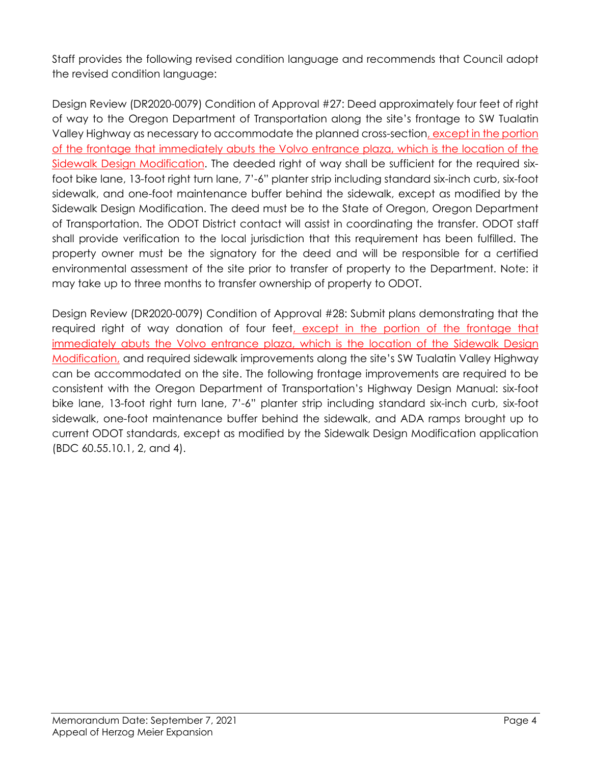Staff provides the following revised condition language and recommends that Council adopt the revised condition language:

Design Review (DR2020-0079) Condition of Approval #27: Deed approximately four feet of right of way to the Oregon Department of Transportation along the site's frontage to SW Tualatin Valley Highway as necessary to accommodate the planned cross-section, except in the portion of the frontage that immediately abuts the Volvo entrance plaza, which is the location of the Sidewalk Design Modification. The deeded right of way shall be sufficient for the required sixfoot bike lane, 13-foot right turn lane, 7'-6" planter strip including standard six-inch curb, six-foot sidewalk, and one-foot maintenance buffer behind the sidewalk, except as modified by the Sidewalk Design Modification. The deed must be to the State of Oregon, Oregon Department of Transportation. The ODOT District contact will assist in coordinating the transfer. ODOT staff shall provide verification to the local jurisdiction that this requirement has been fulfilled. The property owner must be the signatory for the deed and will be responsible for a certified environmental assessment of the site prior to transfer of property to the Department. Note: it may take up to three months to transfer ownership of property to ODOT.

Design Review (DR2020-0079) Condition of Approval #28: Submit plans demonstrating that the required right of way donation of four feet, except in the portion of the frontage that immediately abuts the Volvo entrance plaza, which is the location of the Sidewalk Design Modification, and required sidewalk improvements along the site's SW Tualatin Valley Highway can be accommodated on the site. The following frontage improvements are required to be consistent with the Oregon Department of Transportation's Highway Design Manual: six-foot bike lane, 13-foot right turn lane, 7'-6" planter strip including standard six-inch curb, six-foot sidewalk, one-foot maintenance buffer behind the sidewalk, and ADA ramps brought up to current ODOT standards, except as modified by the Sidewalk Design Modification application (BDC 60.55.10.1, 2, and 4).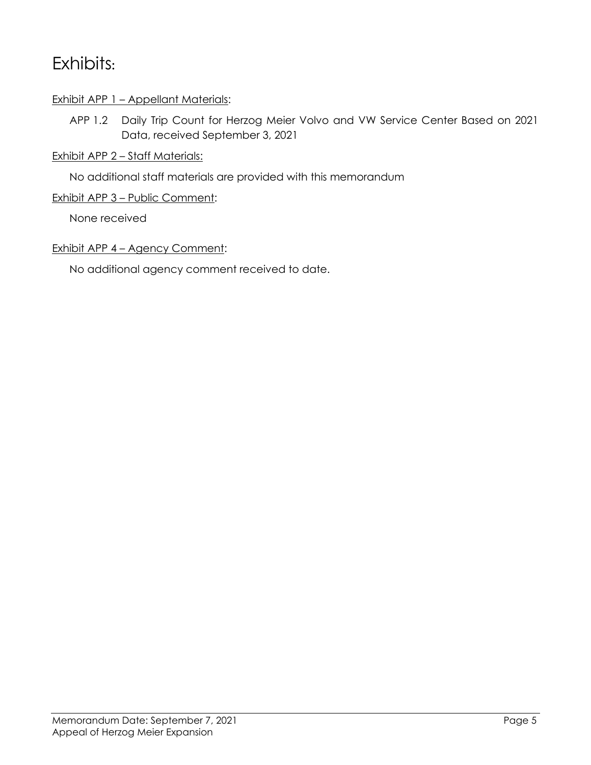# Exhibits**:**

## Exhibit APP 1 - Appellant Materials:

APP 1.2 Daily Trip Count for Herzog Meier Volvo and VW Service Center Based on 2021 Data, received September 3, 2021

# Exhibit APP 2 - Staff Materials:

No additional staff materials are provided with this memorandum

## Exhibit APP 3 – Public Comment:

None received

# Exhibit APP 4 - Agency Comment:

No additional agency comment received to date.